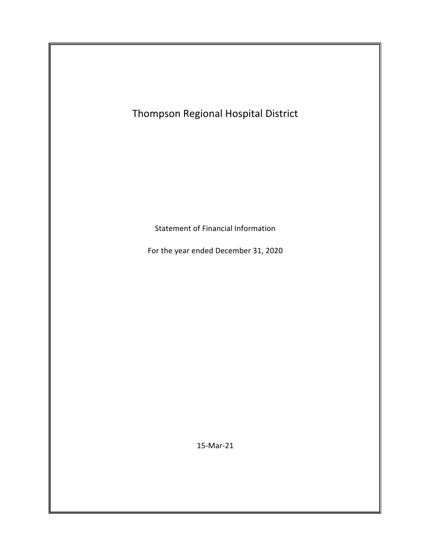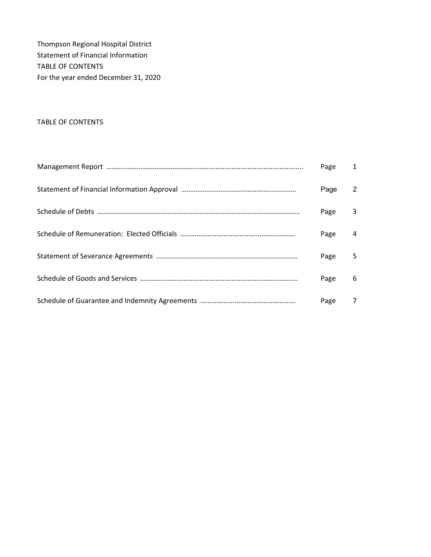Thompson Regional Hospital District Statement of Financial Information TABLE OF CONTENTS For the year ended December 31, 2020

## TABLE OF CONTENTS

| Page | $\mathbf{1}$ |
|------|--------------|
| Page | 2            |
| Page | 3            |
| Page | 4            |
| Page | 5            |
| Page | 6            |
| Page | 7            |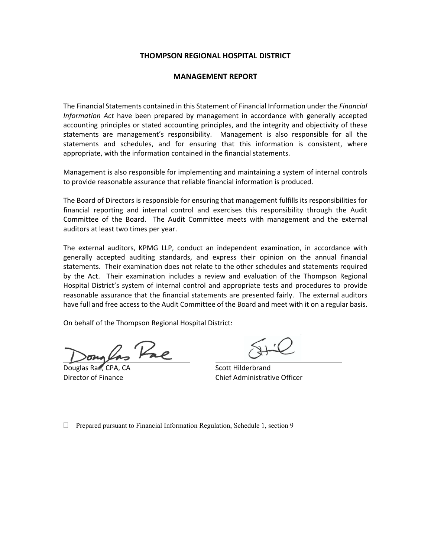### **THOMPSON REGIONAL HOSPITAL DISTRICT**

#### **MANAGEMENT REPORT**

The Financial Statements contained in this Statement of Financial Information under the *Financial Information Act* have been prepared by management in accordance with generally accepted accounting principles or stated accounting principles, and the integrity and objectivity of these statements are management's responsibility. Management is also responsible for all the statements and schedules, and for ensuring that this information is consistent, where appropriate, with the information contained in the financial statements.

Management is also responsible for implementing and maintaining a system of internal controls to provide reasonable assurance that reliable financial information is produced.

The Board of Directors is responsible for ensuring that management fulfills its responsibilities for financial reporting and internal control and exercises this responsibility through the Audit Committee of the Board. The Audit Committee meets with management and the external auditors at least two times per year.

The external auditors, KPMG LLP, conduct an independent examination, in accordance with generally accepted auditing standards, and express their opinion on the annual financial statements. Their examination does not relate to the other schedules and statements required by the Act. Their examination includes a review and evaluation of the Thompson Regional Hospital District's system of internal control and appropriate tests and procedures to provide reasonable assurance that the financial statements are presented fairly. The external auditors have full and free access to the Audit Committee of the Board and meet with it on a regular basis.

On behalf of the Thompson Regional Hospital District:

Dongers rue \_\_\_\_\_\_

Douglas Rae, CPA, CA 
BRACE CONSTRAINING Scott Hilderbrand

Director of Finance Chief Administrative Officer

 $\Box$  Prepared pursuant to Financial Information Regulation, Schedule 1, section 9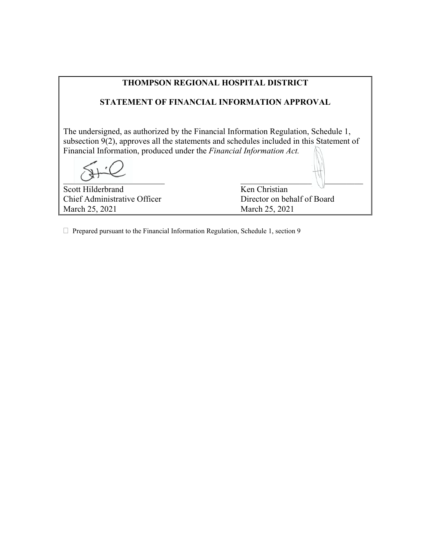| <b>THOMPSON REGIONAL HOSPITAL DISTRICT</b>                                                                                                                                                                                                                         |                             |  |  |  |
|--------------------------------------------------------------------------------------------------------------------------------------------------------------------------------------------------------------------------------------------------------------------|-----------------------------|--|--|--|
| <b>STATEMENT OF FINANCIAL INFORMATION APPROVAL</b>                                                                                                                                                                                                                 |                             |  |  |  |
| The undersigned, as authorized by the Financial Information Regulation, Schedule 1,<br>subsection $9(2)$ , approves all the statements and schedules included in this Statement of<br>Financial Information, produced under the <i>Financial Information Act</i> . |                             |  |  |  |
|                                                                                                                                                                                                                                                                    |                             |  |  |  |
| Scott Hilderbrand                                                                                                                                                                                                                                                  | Ken Christian               |  |  |  |
| Chief Administrative Officer                                                                                                                                                                                                                                       | Director on behalf of Board |  |  |  |
| March 25, 2021                                                                                                                                                                                                                                                     | March 25, 2021              |  |  |  |

 $\Box$  Prepared pursuant to the Financial Information Regulation, Schedule 1, section 9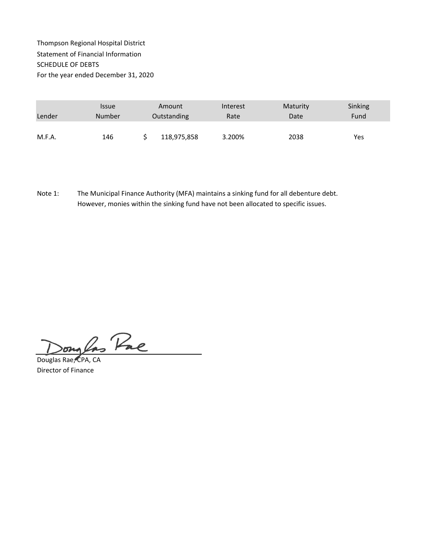## Thompson Regional Hospital District Statement of Financial Information SCHEDULE OF DEBTS For the year ended December 31, 2020

|        | <i><b>Issue</b></i> | Amount      | Interest | Maturity | Sinking |
|--------|---------------------|-------------|----------|----------|---------|
| Lender | Number              | Outstanding | Rate     | Date     | Fund    |
|        |                     |             |          |          |         |
| M.F.A. | 146                 | 118,975,858 | 3.200%   | 2038     | Yes     |

Note 1: The Municipal Finance Authority (MFA) maintains a sinking fund for all debenture debt. However, monies within the sinking fund have not been allocated to specific issues.

In Pac on

Douglas Rae, CPA, CA Director of Finance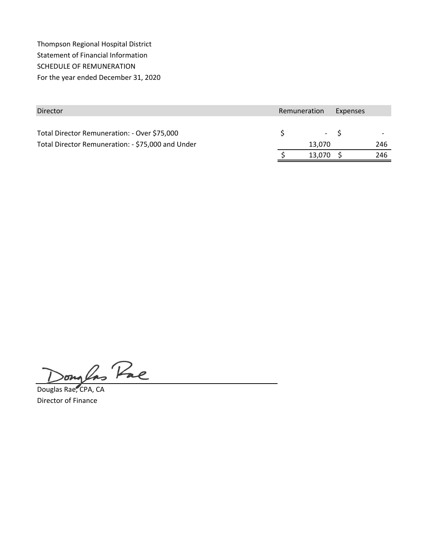Thompson Regional Hospital District Statement of Financial Information SCHEDULE OF REMUNERATION For the year ended December 31, 2020

| Director                                          | Remuneration | Expenses |     |
|---------------------------------------------------|--------------|----------|-----|
|                                                   |              |          |     |
| Total Director Remuneration: - Over \$75,000      | $- S$        |          |     |
| Total Director Remuneration: - \$75,000 and Under | 13.070       |          | 246 |
|                                                   | 13,070       |          | 246 |

2 Pac  $\delta$ 

Douglas Rae, CPA, CA Director of Finance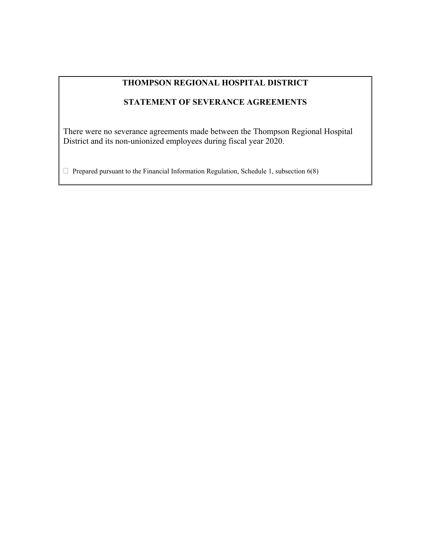# **THOMPSON REGIONAL HOSPITAL DISTRICT**

# **STATEMENT OF SEVERANCE AGREEMENTS**

There were no severance agreements made between the Thompson Regional Hospital District and its non-unionized employees during fiscal year 2020.

 $\Box$  Prepared pursuant to the Financial Information Regulation, Schedule 1, subsection 6(8)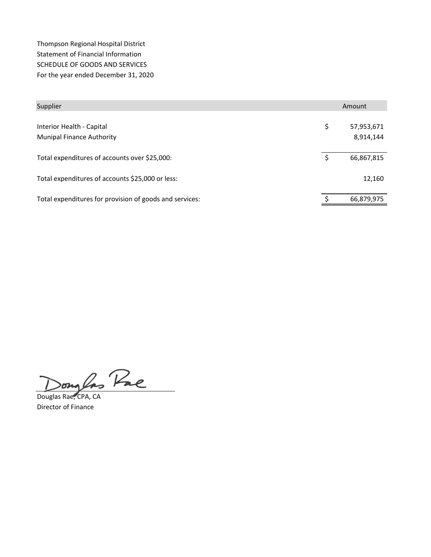Thompson Regional Hospital District Statement of Financial Information SCHEDULE OF GOODS AND SERVICES For the year ended December 31, 2020

| Supplier                                                      | Amount                        |  |
|---------------------------------------------------------------|-------------------------------|--|
| Interior Health - Capital<br><b>Munipal Finance Authority</b> | \$<br>57,953,671<br>8,914,144 |  |
| Total expenditures of accounts over \$25,000:                 | \$<br>66,867,815              |  |
| Total expenditures of accounts \$25,000 or less:              | 12,160                        |  |
| Total expenditures for provision of goods and services:       | 66,879,975                    |  |

songlas Pae

Douglas Rae, CPA, CA Director of Finance